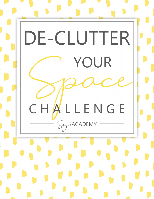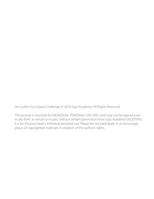De-clutter Your Space Challenge © 2019 Sojo Academy. All Rights Reserved.

This journal is intended for INDIVIDUAL PERSONAL USE ONLY and may not be reproduced in any form, in whole or in part, without written permission from Sojo Academy EXCEPTING it is for the purchaser's individual personal use. Please do not participate in or encourage piracy of copyrighted materials in violation of the author's rights.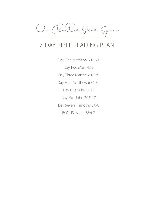

# 7-DAY BIBLE READING PLAN

Day One Matthew 6:19-21 Day Two Mark 4:19 Day Three Matthew 16:26 Day Four Matthew 6:31-34 Day Five Luke 12:15 Day Six I John 2:15-17 Day Seven I Timothy 6:6-8 BONUS: Isaiah 58:6-7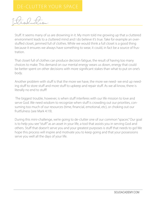Introduction:

Stuff. It seems many of us are drowning in it. My mom told me growing up that a cluttered environment leads to a cluttered mind and I do believe it's true. Take for example an overstuffed closet, jammed full of clothes. While we would think a full closet is a good thing because it ensures we always have something to wear, it could, in fact be a source of frustration.

That closet full of clothes can produce decision fatigue, the result of having too many choices to make. This demand on our mental energy wears us down, energy that could be better spent on other decisions with more significant stakes than what to put on one's body.

Another problem with stuff is that the more we have, the more we need- we end up needing stuff to store stuff and more stuff to upkeep and repair stuff. As we all know, there is literally no end to stuff!

 The biggest trouble, however, is when stuff interferes with our life mission to love and serve God. We need wisdom to recognize when stuff is crowding out our priorities, consuming too much of our resources (time, financial, emotional, etc), or choking out our fruitfulness (see Mark 4:19).

During this mini-challenge, we're going to de-clutter one of our common "spaces." Our goal is to help you see "stuff" as an asset in your life, a tool that assists you in serving God and others. Stuff that doesn't serve you and your greatest purposes is stuff that needs to go! We hope this process will inspire and motivate you to keep going and that your possessions serve you well all the days of your life.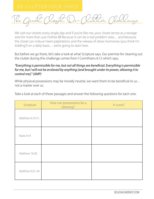<u>The Great (loget Ve-Clutter Challenge</u>

We visit our closets every single day and if you're like me, your closet serves as a storage area for more than just clothes  $\odot$  Because it can be a real problem area... and because the closet can induce heart palpitations and the release of stress hormones (you think I'm kidding?) on a daily basis… we're going to start here.

But before we go there, let's take a look at what Scripture says. Our premise for cleaning out the clutter during this challenge comes from I Corinthians 6:12 which says,

## *"Everything is permissible for me, but not all things are beneficial. Everything is permissible for me, but I will not be enslaved by anything [and brought under its power, allowing it to control me]." (AMP)*

While physical possessions may be morally neutral, we want them to be beneficial to us... not a master over us.

| Scripture       | How can possessions be a<br>blessing? | A curse? |
|-----------------|---------------------------------------|----------|
| Matthew 6:19-21 |                                       |          |
| Mark 4:19       |                                       |          |
| Matthew 16:26   |                                       |          |
| Matthew 6:31-34 |                                       |          |

Take a look at each of these passages and answer the following questions for each one: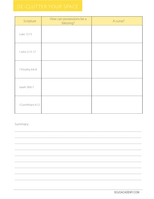| Scripture          | How can possessions be a<br>blessing? | A curse? |
|--------------------|---------------------------------------|----------|
| Luke 12:15         |                                       |          |
| I John 2:15-17     |                                       |          |
| I Timothy 6:6-8    |                                       |          |
| Isaiah 58:6-7      |                                       |          |
| I Corinthians 6:12 |                                       |          |

Summary: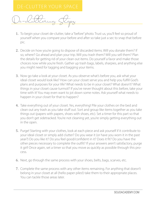De-cluttering Steps

- 1. To begin your closet de-clutter, take a "before" photo. Trust us, you'll feel so proud of yourself when you compare your before and after so take just a sec to snap that before pic.
- 2. Decide on how you're going to dispose of discarded items. Will you donate them? If so, where? Go ahead and plan your trip. Will you trash them? Will you sell them? Plan the details for getting rid of your clean out items. Do yourself a favor and make those choices now while you're fresh. Gather up trash bags, labels, sharpies, and anything else you might need for tagging and bagging your items.
- 3. Now go take a look at your closet. As you observe what's before you, ask what your ideal closet would look like? How can your closet serve you and help you fulfill God's plans and purposes for your life? What needs to be in your closet? What doesn't? What things in your closet cause turmoil? If you've never thought about this before, take your time with it! You may even want to jot down some notes. Ask yourself what needs to happen in your closet for that to happen?
- 4. Take everything out of your closet. Yes, everything! Pile your clothes on the bed and clean out any trash as you take stuff out. Sort and group like items together as you take things out (papers with papers, shoes with shoes, etc). Set a timer for this part so that you don't get sidetracked. You're not cleaning yet, you're simply getting everything out in the open.
- 5. Purge! Starting with your clothes, look at each piece and ask yourself if it contribute to your ideal closet or simply add clutter? Do you wear it (or have you worn it in the past year?) Do you like it? Do you feel good/confident in it? Does it fit? Do you have the other pieces necessary to complete the outfit? If your answers aren't satisfactory, purge it girl! Once again, set a timer so that you move as quickly as possible through this process.
- 6. Next, go through the same process with your shoes, belts, bags, scarves, etc.
- 7. Complete the same process with any other items remaining. For anything that doesn't belong in your closet at all (hello paper piles!) take them to their appropriate places. You can tackle those areas later.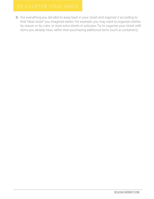8. Put everything you decided to keep back in your closet and organize it according to that "ideal closet" you imagined earlier. For example, you may want to organize clothes by season or by color, or store extra sheets in suitcases. Try to organize your closet with items you already have, rather than purchasing additional items (such as containers).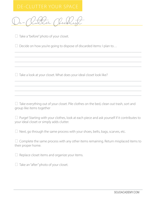De-Clutter Checklist

 $\Box$  Take a "before" photo of your closet.

 $\Box$  Decide on how you're going to dispose of discarded items: I plan to...

\_\_\_\_\_\_\_\_\_\_\_\_\_\_\_\_\_\_\_\_\_\_\_\_\_\_\_\_\_\_\_\_\_\_\_\_\_\_\_\_\_\_\_\_\_\_\_\_\_\_\_\_\_\_\_\_\_\_\_\_\_\_\_ \_\_\_\_\_\_\_\_\_\_\_\_\_\_\_\_\_\_\_\_\_\_\_\_\_\_\_\_\_\_\_\_\_\_\_\_\_\_\_\_\_\_\_\_\_\_\_\_\_\_\_\_\_\_\_\_\_\_\_\_\_\_\_  $\_$  , and the set of the set of the set of the set of the set of the set of the set of the set of the set of the set of the set of the set of the set of the set of the set of the set of the set of the set of the set of th  $\_$  , and the set of the set of the set of the set of the set of the set of the set of the set of the set of the set of the set of the set of the set of the set of the set of the set of the set of the set of the set of th

\_\_\_\_\_\_\_\_\_\_\_\_\_\_\_\_\_\_\_\_\_\_\_\_\_\_\_\_\_\_\_\_\_\_\_\_\_\_\_\_\_\_\_\_\_\_\_\_\_\_\_\_\_\_\_\_\_\_\_\_\_\_\_  $\_$  , and the set of the set of the set of the set of the set of the set of the set of the set of the set of the set of the set of the set of the set of the set of the set of the set of the set of the set of the set of th  $\_$  , and the set of the set of the set of the set of the set of the set of the set of the set of the set of the set of the set of the set of the set of the set of the set of the set of the set of the set of the set of th \_\_\_\_\_\_\_\_\_\_\_\_\_\_\_\_\_\_\_\_\_\_\_\_\_\_\_\_\_\_\_\_\_\_\_\_\_\_\_\_\_\_\_\_\_\_\_\_\_\_\_\_\_\_\_\_\_\_\_\_\_\_\_

 $\Box$  Take a look at your closet. What does your ideal closet look like?

 $\Box$  Take everything out of your closet. Pile clothes on the bed, clean out trash, sort and group like items together

 $\Box$  Purge! Starting with your clothes, look at each piece and ask yourself if it contributes to your ideal closet or simply adds clutter.

 $\Box$  Next, go through the same process with your shoes, belts, bags, scarves, etc.

 $\Box$  Complete the same process with any other items remaining. Return misplaced items to their proper home.

 $\Box$  Replace closet items and organize your items.

 $\Box$  Take an "after" photo of your closet.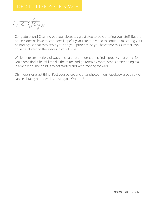Next Steps

Congratulations! Cleaning out your closet is a great step to de-cluttering your stuff. But the process doesn't have to stop here! Hopefully you are motivated to continue mastering your belongings so that they serve you and your priorities. As you have time this summer, continue de-cluttering the spaces in your home.

While there are a variety of ways to clean out and de-clutter, find a process that works for you. Some find it helpful to take their time and go room by room; others prefer doing it all in a weekend. The point is to get started and keep moving forward.

Oh, there is one last thing! Post your before and after photos in our Facebook group so we can celebrate your new closet with you! Woohoo!